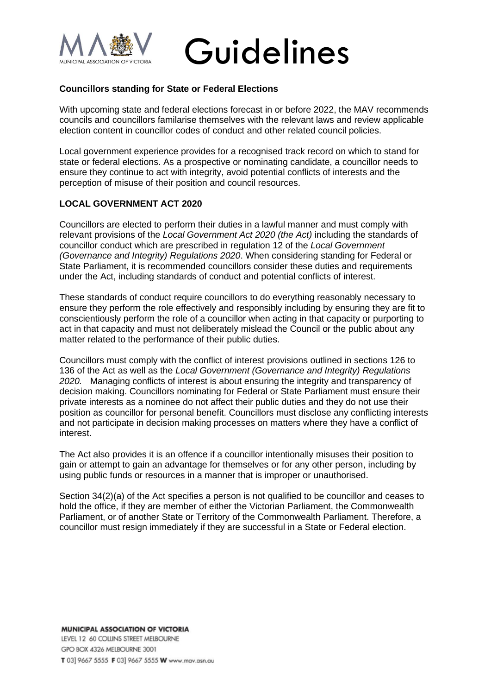

# Guidelines

## **Councillors standing for State or Federal Elections**

With upcoming state and federal elections forecast in or before 2022, the MAV recommends councils and councillors familarise themselves with the relevant laws and review applicable election content in councillor codes of conduct and other related council policies.

Local government experience provides for a recognised track record on which to stand for state or federal elections. As a prospective or nominating candidate, a councillor needs to ensure they continue to act with integrity, avoid potential conflicts of interests and the perception of misuse of their position and council resources.

# **LOCAL GOVERNMENT ACT 2020**

Councillors are elected to perform their duties in a lawful manner and must comply with relevant provisions of the *Local Government Act 2020 (the Act)* including the standards of councillor conduct which are prescribed in regulation 12 of the *Local Government (Governance and Integrity) Regulations 2020*. When considering standing for Federal or State Parliament, it is recommended councillors consider these duties and requirements under the Act, including standards of conduct and potential conflicts of interest.

These standards of conduct require councillors to do everything reasonably necessary to ensure they perform the role effectively and responsibly including by ensuring they are fit to conscientiously perform the role of a councillor when acting in that capacity or purporting to act in that capacity and must not deliberately mislead the Council or the public about any matter related to the performance of their public duties.

Councillors must comply with the conflict of interest provisions outlined in sections 126 to 136 of the Act as well as the *Local Government (Governance and Integrity) Regulations 2020.* Managing conflicts of interest is about ensuring the integrity and transparency of decision making. Councillors nominating for Federal or State Parliament must ensure their private interests as a nominee do not affect their public duties and they do not use their position as councillor for personal benefit. Councillors must disclose any conflicting interests and not participate in decision making processes on matters where they have a conflict of interest.

The Act also provides it is an offence if a councillor intentionally misuses their position to gain or attempt to gain an advantage for themselves or for any other person, including by using public funds or resources in a manner that is improper or unauthorised.

Section 34(2)(a) of the Act specifies a person is not qualified to be councillor and ceases to hold the office, if they are member of either the Victorian Parliament, the Commonwealth Parliament, or of another State or Territory of the Commonwealth Parliament. Therefore, a councillor must resign immediately if they are successful in a State or Federal election.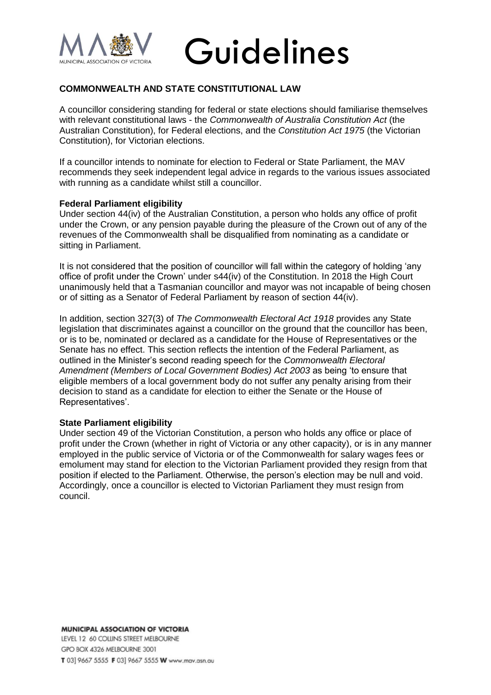



# **COMMONWEALTH AND STATE CONSTITUTIONAL LAW**

A councillor considering standing for federal or state elections should familiarise themselves with relevant constitutional laws - the *Commonwealth of Australia Constitution Act* (the Australian Constitution), for Federal elections, and the *Constitution Act 1975* (the Victorian Constitution), for Victorian elections.

If a councillor intends to nominate for election to Federal or State Parliament, the MAV recommends they seek independent legal advice in regards to the various issues associated with running as a candidate whilst still a councillor.

### **Federal Parliament eligibility**

Under section 44(iv) of the Australian Constitution, a person who holds any office of profit under the Crown, or any pension payable during the pleasure of the Crown out of any of the revenues of the Commonwealth shall be disqualified from nominating as a candidate or sitting in Parliament.

It is not considered that the position of councillor will fall within the category of holding 'any office of profit under the Crown' under s44(iv) of the Constitution. In 2018 the High Court unanimously held that a Tasmanian councillor and mayor was not incapable of being chosen or of sitting as a Senator of Federal Parliament by reason of section 44(iv).

In addition, section 327(3) of *The Commonwealth Electoral Act 1918* provides any State legislation that discriminates against a councillor on the ground that the councillor has been, or is to be, nominated or declared as a candidate for the House of Representatives or the Senate has no effect. This section reflects the intention of the Federal Parliament, as outlined in the Minister's second reading speech for the *Commonwealth Electoral Amendment (Members of Local Government Bodies) Act 2003* as being 'to ensure that eligible members of a local government body do not suffer any penalty arising from their decision to stand as a candidate for election to either the Senate or the House of Representatives'.

#### **State Parliament eligibility**

Under section 49 of the Victorian Constitution, a person who holds any office or place of profit under the Crown (whether in right of Victoria or any other capacity), or is in any manner employed in the public service of Victoria or of the Commonwealth for salary wages fees or emolument may stand for election to the Victorian Parliament provided they resign from that position if elected to the Parliament. Otherwise, the person's election may be null and void. Accordingly, once a councillor is elected to Victorian Parliament they must resign from council.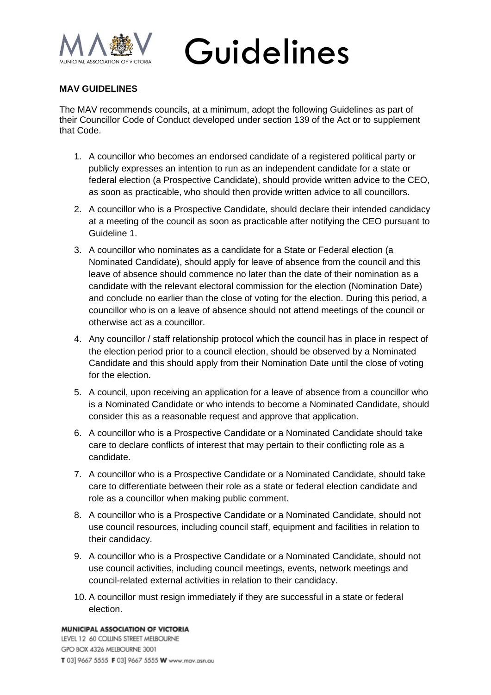

Guidelines

# **MAV GUIDELINES**

The MAV recommends councils, at a minimum, adopt the following Guidelines as part of their Councillor Code of Conduct developed under section 139 of the Act or to supplement that Code.

- 1. A councillor who becomes an endorsed candidate of a registered political party or publicly expresses an intention to run as an independent candidate for a state or federal election (a Prospective Candidate), should provide written advice to the CEO, as soon as practicable, who should then provide written advice to all councillors.
- 2. A councillor who is a Prospective Candidate, should declare their intended candidacy at a meeting of the council as soon as practicable after notifying the CEO pursuant to Guideline 1.
- 3. A councillor who nominates as a candidate for a State or Federal election (a Nominated Candidate), should apply for leave of absence from the council and this leave of absence should commence no later than the date of their nomination as a candidate with the relevant electoral commission for the election (Nomination Date) and conclude no earlier than the close of voting for the election. During this period, a councillor who is on a leave of absence should not attend meetings of the council or otherwise act as a councillor.
- 4. Any councillor / staff relationship protocol which the council has in place in respect of the election period prior to a council election, should be observed by a Nominated Candidate and this should apply from their Nomination Date until the close of voting for the election.
- 5. A council, upon receiving an application for a leave of absence from a councillor who is a Nominated Candidate or who intends to become a Nominated Candidate, should consider this as a reasonable request and approve that application.
- 6. A councillor who is a Prospective Candidate or a Nominated Candidate should take care to declare conflicts of interest that may pertain to their conflicting role as a candidate.
- 7. A councillor who is a Prospective Candidate or a Nominated Candidate, should take care to differentiate between their role as a state or federal election candidate and role as a councillor when making public comment.
- 8. A councillor who is a Prospective Candidate or a Nominated Candidate, should not use council resources, including council staff, equipment and facilities in relation to their candidacy.
- 9. A councillor who is a Prospective Candidate or a Nominated Candidate, should not use council activities, including council meetings, events, network meetings and council-related external activities in relation to their candidacy.
- 10. A councillor must resign immediately if they are successful in a state or federal election.

#### MUNICIPAL ASSOCIATION OF VICTORIA